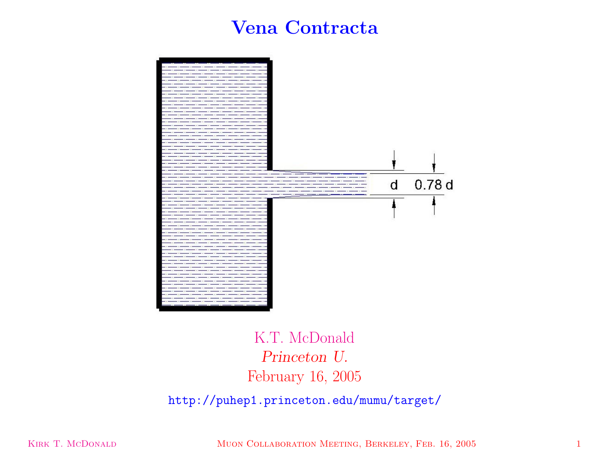## **Vena Contracta**



## K.T. McDonald *Princeton U.* February 16, 2005

http://puhep1.princeton.edu/mumu/target/

KIRK T. MCDONALD MUON COLLABORATION MEETING, BERKELEY, FEB. 16, 2005 1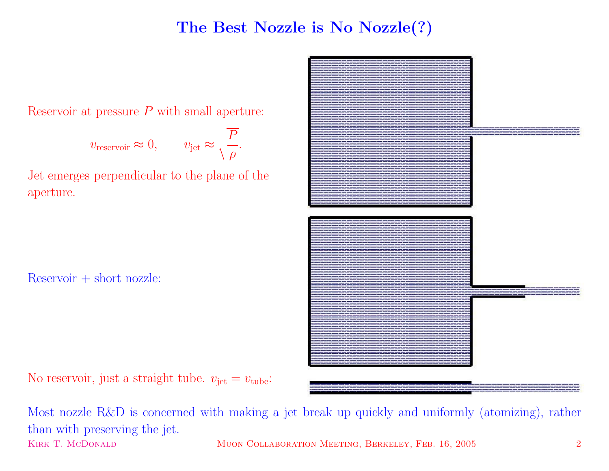## **The Best Nozzle is No Nozzle(?)**

Reservoir at pressure  $P$  with small aperture:

$$
v_{\text{reservoir}} \approx 0, \qquad v_{\text{jet}} \approx \sqrt{\frac{P}{\rho}}.
$$

Jet emerges perpendicular to the <sup>p</sup>lane of the aperture.

 $Reservoir + short nozzle$ 

No reservoir, just a straight tube.  $v_{\rm jet} = v_{\rm tube}$ :



Most nozzle R&D is concerned with making <sup>a</sup> jet break up quickly and uniformly (atomizing), rather than with preserving the jet. KIRK T. MCDONALD MUON COLLABORATION MEETING, BERKELEY, FEB. 16, 2005 2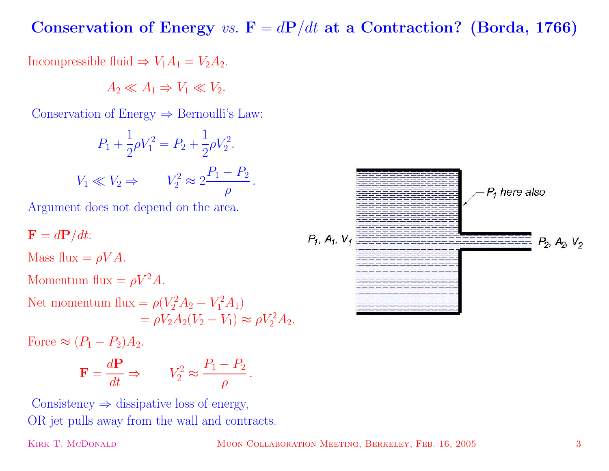**Conservation** of **Energy** *vs.*  $\mathbf{F} = d\mathbf{P}/dt$  **at a Contraction?** (Borda, 1766)

Incompressible fluid  $\Rightarrow V_1A_1 = V_2A_2$ .

 $A_2 \ll A_1 \Rightarrow V_1 \ll V_2$ .

Conservation of Energy  $\Rightarrow$  Bernoulli's Law:

$$
P_1 + \frac{1}{2}\rho V_1^2 = P_2 + \frac{1}{2}\rho V_2^2.
$$
  

$$
V_1 \ll V_2 \Rightarrow V_2^2 \approx 2\frac{P_1 - P_2}{\rho}.
$$

Argument does not depend on the area.

$$
\mathbf{F} = d\mathbf{P}/dt:
$$
  
Mass flux =  $\rho V A$ .  
Monentum flux =  $\rho V^2 A$ .  
Net momentum flux =  $\rho (V_2^2 A_2 - V_1^2 A_1)$   
=  $\rho V_2 A_2 (V_2 - V_1) \approx \rho V_2^2 A_2$ .

Force  $\approx (P_1 - P_2)A_2$ .

$$
\mathbf{F} = \frac{d\mathbf{P}}{dt} \Rightarrow \qquad V_2^2 \approx \frac{P_1 - P_2}{\rho}.
$$

Consistency  $\Rightarrow$  dissipative loss of energy, OR jet pulls away from the wall and contracts.